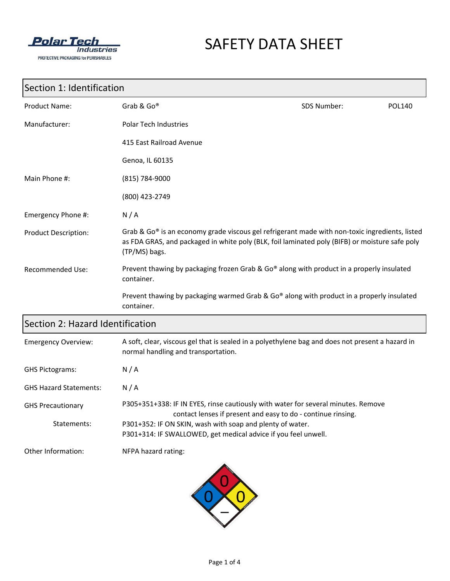

# SAFETY DATA SHEET

## Section 1: Identification

| <b>Product Name:</b>        | Grab & Go®                                                                                                                                                                                                        | SDS Number: | <b>POL140</b> |
|-----------------------------|-------------------------------------------------------------------------------------------------------------------------------------------------------------------------------------------------------------------|-------------|---------------|
| Manufacturer:               | <b>Polar Tech Industries</b>                                                                                                                                                                                      |             |               |
|                             | 415 East Railroad Avenue                                                                                                                                                                                          |             |               |
|                             | Genoa, IL 60135                                                                                                                                                                                                   |             |               |
| Main Phone #:               | (815) 784-9000                                                                                                                                                                                                    |             |               |
|                             | (800) 423-2749                                                                                                                                                                                                    |             |               |
| Emergency Phone #:          | N/A                                                                                                                                                                                                               |             |               |
| <b>Product Description:</b> | Grab & Go® is an economy grade viscous gel refrigerant made with non-toxic ingredients, listed<br>as FDA GRAS, and packaged in white poly (BLK, foil laminated poly (BIFB) or moisture safe poly<br>(TP/MS) bags. |             |               |
| <b>Recommended Use:</b>     | Prevent thawing by packaging frozen Grab & Go® along with product in a properly insulated<br>container.                                                                                                           |             |               |
|                             | Prevent thawing by packaging warmed Grab & Go® along with product in a properly insulated<br>container.                                                                                                           |             |               |

### Section 2: Hazard Identification

| <b>Emergency Overview:</b>    | A soft, clear, viscous gel that is sealed in a polyethylene bag and does not present a hazard in<br>normal handling and transportation.           |
|-------------------------------|---------------------------------------------------------------------------------------------------------------------------------------------------|
| <b>GHS Pictograms:</b>        | N/A                                                                                                                                               |
| <b>GHS Hazard Statements:</b> | N/A                                                                                                                                               |
| <b>GHS Precautionary</b>      | P305+351+338: IF IN EYES, rinse cautiously with water for several minutes. Remove<br>contact lenses if present and easy to do - continue rinsing. |
| Statements:                   | P301+352: IF ON SKIN, wash with soap and plenty of water.                                                                                         |
|                               | P301+314: IF SWALLOWED, get medical advice if you feel unwell.                                                                                    |
| Other Information:            | NFPA hazard rating:                                                                                                                               |

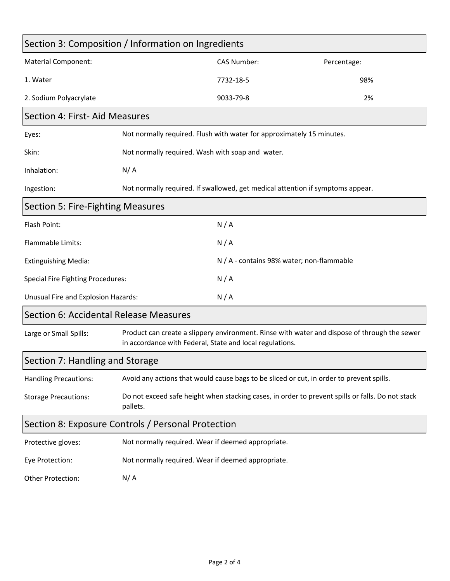| Section 3: Composition / Information on Ingredients |                                                                                                                                                          |                                                                                          |             |  |
|-----------------------------------------------------|----------------------------------------------------------------------------------------------------------------------------------------------------------|------------------------------------------------------------------------------------------|-------------|--|
| <b>Material Component:</b>                          |                                                                                                                                                          | <b>CAS Number:</b>                                                                       | Percentage: |  |
| 1. Water                                            |                                                                                                                                                          | 7732-18-5                                                                                | 98%         |  |
| 2. Sodium Polyacrylate                              |                                                                                                                                                          | 9033-79-8                                                                                | 2%          |  |
| Section 4: First- Aid Measures                      |                                                                                                                                                          |                                                                                          |             |  |
| Eyes:                                               | Not normally required. Flush with water for approximately 15 minutes.                                                                                    |                                                                                          |             |  |
| Skin:                                               | Not normally required. Wash with soap and water.                                                                                                         |                                                                                          |             |  |
| Inhalation:                                         | N/A                                                                                                                                                      |                                                                                          |             |  |
| Ingestion:                                          |                                                                                                                                                          | Not normally required. If swallowed, get medical attention if symptoms appear.           |             |  |
| <b>Section 5: Fire-Fighting Measures</b>            |                                                                                                                                                          |                                                                                          |             |  |
| Flash Point:                                        |                                                                                                                                                          | N/A                                                                                      |             |  |
| Flammable Limits:                                   |                                                                                                                                                          | N/A                                                                                      |             |  |
| <b>Extinguishing Media:</b>                         |                                                                                                                                                          | N / A - contains 98% water; non-flammable                                                |             |  |
| <b>Special Fire Fighting Procedures:</b>            |                                                                                                                                                          | N/A                                                                                      |             |  |
| Unusual Fire and Explosion Hazards:                 |                                                                                                                                                          | N/A                                                                                      |             |  |
| Section 6: Accidental Release Measures              |                                                                                                                                                          |                                                                                          |             |  |
| Large or Small Spills:                              | Product can create a slippery environment. Rinse with water and dispose of through the sewer<br>in accordance with Federal, State and local regulations. |                                                                                          |             |  |
| Section 7: Handling and Storage                     |                                                                                                                                                          |                                                                                          |             |  |
| <b>Handling Precautions:</b>                        |                                                                                                                                                          | Avoid any actions that would cause bags to be sliced or cut, in order to prevent spills. |             |  |
| <b>Storage Precautions:</b>                         | Do not exceed safe height when stacking cases, in order to prevent spills or falls. Do not stack<br>pallets.                                             |                                                                                          |             |  |
| Section 8: Exposure Controls / Personal Protection  |                                                                                                                                                          |                                                                                          |             |  |
| Protective gloves:                                  | Not normally required. Wear if deemed appropriate.                                                                                                       |                                                                                          |             |  |
| Eye Protection:                                     | Not normally required. Wear if deemed appropriate.                                                                                                       |                                                                                          |             |  |
| Other Protection:                                   | N/A                                                                                                                                                      |                                                                                          |             |  |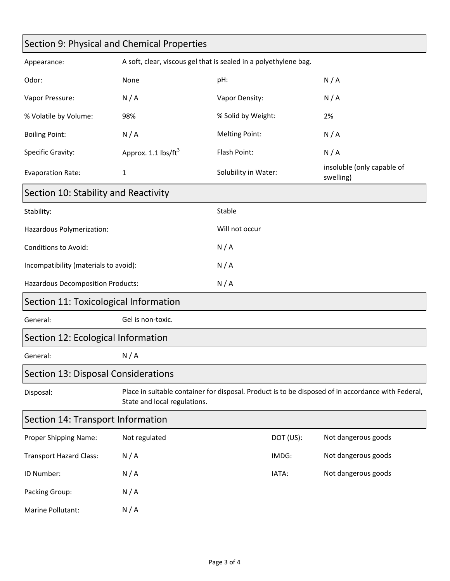| Section 9: Physical and Chemical Properties |                                                                                                                                    |                                                                  |           |                                         |
|---------------------------------------------|------------------------------------------------------------------------------------------------------------------------------------|------------------------------------------------------------------|-----------|-----------------------------------------|
| Appearance:                                 |                                                                                                                                    | A soft, clear, viscous gel that is sealed in a polyethylene bag. |           |                                         |
| Odor:                                       | None                                                                                                                               | pH:                                                              |           | N/A                                     |
| Vapor Pressure:                             | N/A                                                                                                                                | Vapor Density:                                                   |           | N/A                                     |
| % Volatile by Volume:                       | 98%                                                                                                                                | % Solid by Weight:                                               |           | 2%                                      |
| <b>Boiling Point:</b>                       | N/A                                                                                                                                | <b>Melting Point:</b>                                            |           | N/A                                     |
| Specific Gravity:                           | Approx. 1.1 lbs/ft <sup>3</sup>                                                                                                    | Flash Point:                                                     |           | N/A                                     |
| <b>Evaporation Rate:</b>                    | 1                                                                                                                                  | Solubility in Water:                                             |           | insoluble (only capable of<br>swelling) |
| Section 10: Stability and Reactivity        |                                                                                                                                    |                                                                  |           |                                         |
| Stability:                                  |                                                                                                                                    | Stable                                                           |           |                                         |
| Hazardous Polymerization:                   |                                                                                                                                    | Will not occur                                                   |           |                                         |
| <b>Conditions to Avoid:</b>                 |                                                                                                                                    | N/A                                                              |           |                                         |
| Incompatibility (materials to avoid):       |                                                                                                                                    | N/A                                                              |           |                                         |
| Hazardous Decomposition Products:           |                                                                                                                                    | N/A                                                              |           |                                         |
|                                             | Section 11: Toxicological Information                                                                                              |                                                                  |           |                                         |
| General:                                    | Gel is non-toxic.                                                                                                                  |                                                                  |           |                                         |
| Section 12: Ecological Information          |                                                                                                                                    |                                                                  |           |                                         |
| General:                                    | N/A                                                                                                                                |                                                                  |           |                                         |
| Section 13: Disposal Considerations         |                                                                                                                                    |                                                                  |           |                                         |
| Disposal:                                   | Place in suitable container for disposal. Product is to be disposed of in accordance with Federal,<br>State and local regulations. |                                                                  |           |                                         |
| Section 14: Transport Information           |                                                                                                                                    |                                                                  |           |                                         |
| Proper Shipping Name:                       | Not regulated                                                                                                                      |                                                                  | DOT (US): | Not dangerous goods                     |
| <b>Transport Hazard Class:</b>              | N/A                                                                                                                                |                                                                  | IMDG:     | Not dangerous goods                     |
| ID Number:                                  | N/A                                                                                                                                |                                                                  | IATA:     | Not dangerous goods                     |
| Packing Group:                              | N/A                                                                                                                                |                                                                  |           |                                         |
| Marine Pollutant:                           | N/A                                                                                                                                |                                                                  |           |                                         |